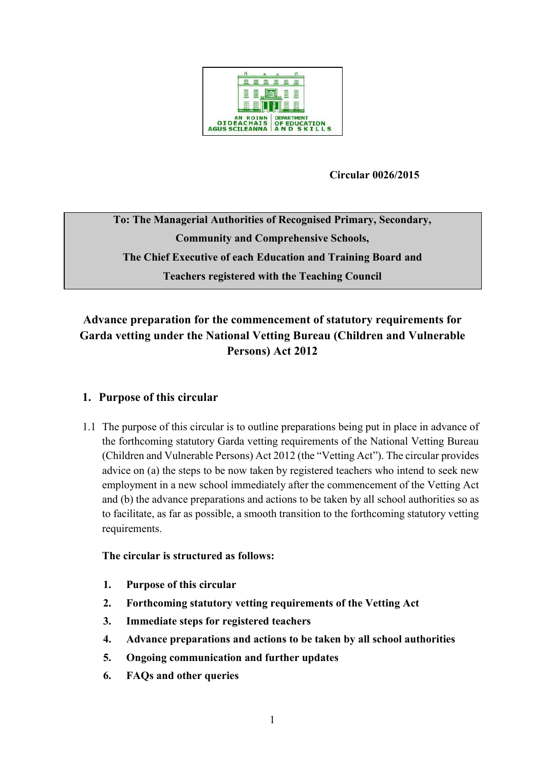

## **Circular 0026/2015**

**To: The Managerial Authorities of Recognised Primary, Secondary, Community and Comprehensive Schools, The Chief Executive of each Education and Training Board and Teachers registered with the Teaching Council**

# **Advance preparation for the commencement of statutory requirements for Garda vetting under the National Vetting Bureau (Children and Vulnerable Persons) Act 2012**

## <span id="page-0-0"></span>**1. Purpose of this circular**

1.1 The purpose of this circular is to outline preparations being put in place in advance of the forthcoming statutory Garda vetting requirements of the National Vetting Bureau (Children and Vulnerable Persons) Act 2012 (the "Vetting Act"). The circular provides advice on (a) the steps to be now taken by registered teachers who intend to seek new employment in a new school immediately after the commencement of the Vetting Act and (b) the advance preparations and actions to be taken by all school authorities so as to facilitate, as far as possible, a smooth transition to the forthcoming statutory vetting requirements.

#### **The circular is structured as follows:**

- **1. [Purpose of this circular](#page-0-0)**
- **2. [Forthcoming statutory vetting requirements of the Vetting Act](#page-1-0)**
- **3. [Immediate steps for registered teachers](#page-3-0)**
- **4. [Advance preparations and actions to be taken by all school authorities](#page-6-0)**
- **5. [Ongoing communication and further updates](#page-8-0)**
- **6. [FAQs and other queries](#page-8-1)**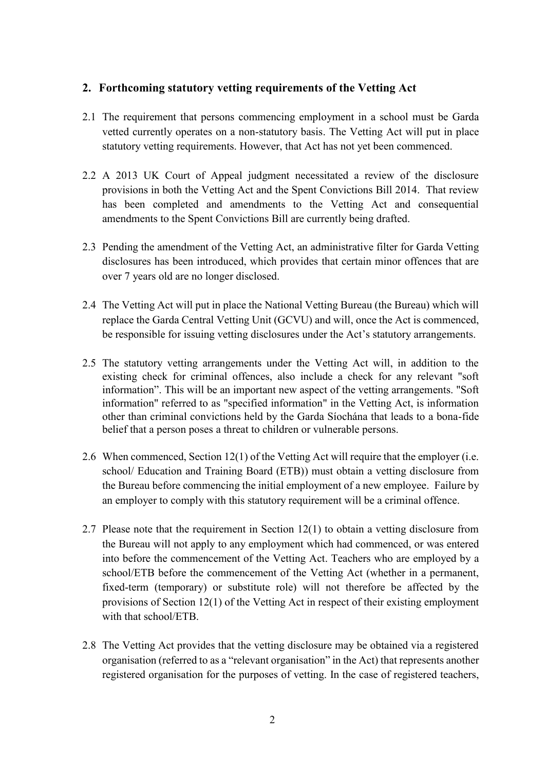## <span id="page-1-0"></span>**2. Forthcoming statutory vetting requirements of the Vetting Act**

- 2.1 The requirement that persons commencing employment in a school must be Garda vetted currently operates on a non-statutory basis. The Vetting Act will put in place statutory vetting requirements. However, that Act has not yet been commenced.
- 2.2 A 2013 UK Court of Appeal judgment necessitated a review of the disclosure provisions in both the Vetting Act and the Spent Convictions Bill 2014. That review has been completed and amendments to the Vetting Act and consequential amendments to the Spent Convictions Bill are currently being drafted.
- 2.3 Pending the amendment of the Vetting Act, an administrative filter for Garda Vetting disclosures has been introduced, which provides that certain minor offences that are over 7 years old are no longer disclosed.
- 2.4 The Vetting Act will put in place the National Vetting Bureau (the Bureau) which will replace the Garda Central Vetting Unit (GCVU) and will, once the Act is commenced, be responsible for issuing vetting disclosures under the Act's statutory arrangements.
- 2.5 The statutory vetting arrangements under the Vetting Act will, in addition to the existing check for criminal offences, also include a check for any relevant "soft information". This will be an important new aspect of the vetting arrangements. "Soft information" referred to as "specified information" in the Vetting Act, is information other than criminal convictions held by the Garda Síochána that leads to a bona-fide belief that a person poses a threat to children or vulnerable persons.
- 2.6 When commenced, Section 12(1) of the Vetting Act will require that the employer (i.e. school/ Education and Training Board (ETB)) must obtain a vetting disclosure from the Bureau before commencing the initial employment of a new employee. Failure by an employer to comply with this statutory requirement will be a criminal offence.
- 2.7 Please note that the requirement in Section 12(1) to obtain a vetting disclosure from the Bureau will not apply to any employment which had commenced, or was entered into before the commencement of the Vetting Act. Teachers who are employed by a school/ETB before the commencement of the Vetting Act (whether in a permanent, fixed-term (temporary) or substitute role) will not therefore be affected by the provisions of Section 12(1) of the Vetting Act in respect of their existing employment with that school/ETB.
- 2.8 The Vetting Act provides that the vetting disclosure may be obtained via a registered organisation (referred to as a "relevant organisation" in the Act) that represents another registered organisation for the purposes of vetting. In the case of registered teachers,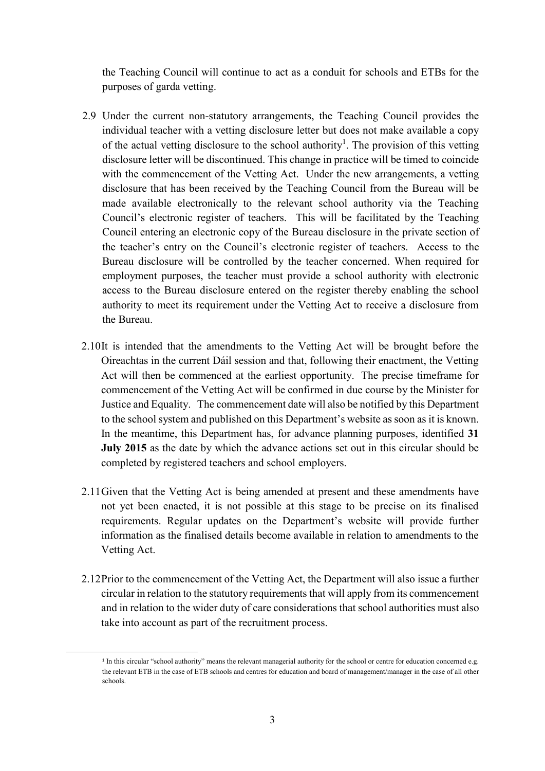the Teaching Council will continue to act as a conduit for schools and ETBs for the purposes of garda vetting.

- 2.9 Under the current non-statutory arrangements, the Teaching Council provides the individual teacher with a vetting disclosure letter but does not make available a copy of the actual vetting disclosure to the school authority<sup>1</sup>. The provision of this vetting disclosure letter will be discontinued. This change in practice will be timed to coincide with the commencement of the Vetting Act. Under the new arrangements, a vetting disclosure that has been received by the Teaching Council from the Bureau will be made available electronically to the relevant school authority via the Teaching Council's electronic register of teachers. This will be facilitated by the Teaching Council entering an electronic copy of the Bureau disclosure in the private section of the teacher's entry on the Council's electronic register of teachers. Access to the Bureau disclosure will be controlled by the teacher concerned. When required for employment purposes, the teacher must provide a school authority with electronic access to the Bureau disclosure entered on the register thereby enabling the school authority to meet its requirement under the Vetting Act to receive a disclosure from the Bureau.
- 2.10It is intended that the amendments to the Vetting Act will be brought before the Oireachtas in the current Dáil session and that, following their enactment, the Vetting Act will then be commenced at the earliest opportunity. The precise timeframe for commencement of the Vetting Act will be confirmed in due course by the Minister for Justice and Equality. The commencement date will also be notified by this Department to the school system and published on this Department's website as soon as it is known. In the meantime, this Department has, for advance planning purposes, identified **31 July 2015** as the date by which the advance actions set out in this circular should be completed by registered teachers and school employers.
- 2.11Given that the Vetting Act is being amended at present and these amendments have not yet been enacted, it is not possible at this stage to be precise on its finalised requirements. Regular updates on the Department's website will provide further information as the finalised details become available in relation to amendments to the Vetting Act.
- 2.12Prior to the commencement of the Vetting Act, the Department will also issue a further circular in relation to the statutory requirements that will apply from its commencement and in relation to the wider duty of care considerations that school authorities must also take into account as part of the recruitment process.

1

<sup>&</sup>lt;sup>1</sup> In this circular "school authority" means the relevant managerial authority for the school or centre for education concerned e.g. the relevant ETB in the case of ETB schools and centres for education and board of management/manager in the case of all other schools.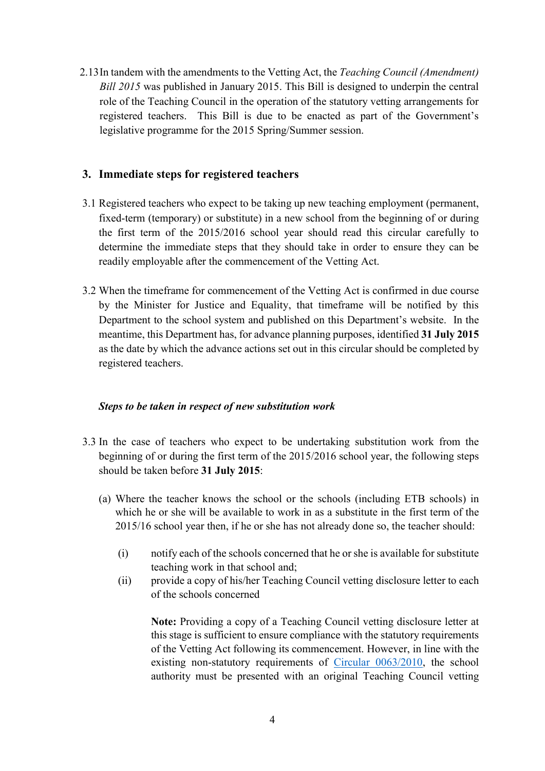2.13In tandem with the amendments to the Vetting Act, the *Teaching Council (Amendment) Bill 2015* was published in January 2015. This Bill is designed to underpin the central role of the Teaching Council in the operation of the statutory vetting arrangements for registered teachers. This Bill is due to be enacted as part of the Government's legislative programme for the 2015 Spring/Summer session.

## <span id="page-3-0"></span>**3. Immediate steps for registered teachers**

- 3.1 Registered teachers who expect to be taking up new teaching employment (permanent, fixed-term (temporary) or substitute) in a new school from the beginning of or during the first term of the 2015/2016 school year should read this circular carefully to determine the immediate steps that they should take in order to ensure they can be readily employable after the commencement of the Vetting Act.
- 3.2 When the timeframe for commencement of the Vetting Act is confirmed in due course by the Minister for Justice and Equality, that timeframe will be notified by this Department to the school system and published on this Department's website. In the meantime, this Department has, for advance planning purposes, identified **31 July 2015** as the date by which the advance actions set out in this circular should be completed by registered teachers.

#### *Steps to be taken in respect of new substitution work*

- 3.3 In the case of teachers who expect to be undertaking substitution work from the beginning of or during the first term of the 2015/2016 school year, the following steps should be taken before **31 July 2015**:
	- (a) Where the teacher knows the school or the schools (including ETB schools) in which he or she will be available to work in as a substitute in the first term of the 2015/16 school year then, if he or she has not already done so, the teacher should:
		- (i) notify each of the schools concerned that he or she is available for substitute teaching work in that school and;
		- (ii) provide a copy of his/her Teaching Council vetting disclosure letter to each of the schools concerned

**Note:** Providing a copy of a Teaching Council vetting disclosure letter at this stage is sufficient to ensure compliance with the statutory requirements of the Vetting Act following its commencement. However, in line with the existing non-statutory requirements of [Circular 0063/2010,](http://www.education.ie/en/Circulars-and-Forms/Active-Circulars/cl0063_2010.doc) the school authority must be presented with an original Teaching Council vetting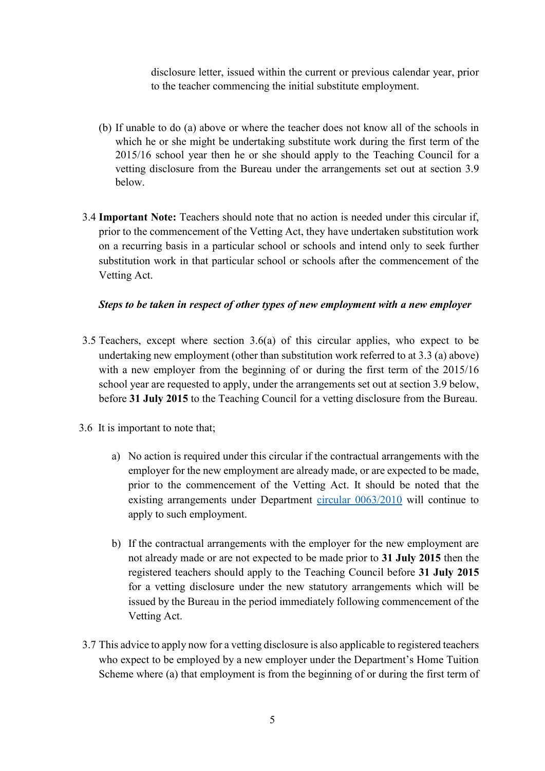disclosure letter, issued within the current or previous calendar year, prior to the teacher commencing the initial substitute employment.

- (b) If unable to do (a) above or where the teacher does not know all of the schools in which he or she might be undertaking substitute work during the first term of the 2015/16 school year then he or she should apply to the Teaching Council for a vetting disclosure from the Bureau under the arrangements set out at section 3.9 below.
- 3.4 **Important Note:** Teachers should note that no action is needed under this circular if, prior to the commencement of the Vetting Act, they have undertaken substitution work on a recurring basis in a particular school or schools and intend only to seek further substitution work in that particular school or schools after the commencement of the Vetting Act.

#### *Steps to be taken in respect of other types of new employment with a new employer*

- 3.5 Teachers, except where section 3.6(a) of this circular applies, who expect to be undertaking new employment (other than substitution work referred to at 3.3 (a) above) with a new employer from the beginning of or during the first term of the 2015/16 school year are requested to apply, under the arrangements set out at section 3.9 below, before **31 July 2015** to the Teaching Council for a vetting disclosure from the Bureau.
- 3.6 It is important to note that;
	- a) No action is required under this circular if the contractual arrangements with the employer for the new employment are already made, or are expected to be made, prior to the commencement of the Vetting Act. It should be noted that the existing arrangements under Department [circular 0063/2010](http://www.education.ie/en/Circulars-and-Forms/Active-Circulars/cl0063_2010.doc) will continue to apply to such employment.
	- b) If the contractual arrangements with the employer for the new employment are not already made or are not expected to be made prior to **31 July 2015** then the registered teachers should apply to the Teaching Council before **31 July 2015** for a vetting disclosure under the new statutory arrangements which will be issued by the Bureau in the period immediately following commencement of the Vetting Act.
- 3.7 This advice to apply now for a vetting disclosure is also applicable to registered teachers who expect to be employed by a new employer under the Department's Home Tuition Scheme where (a) that employment is from the beginning of or during the first term of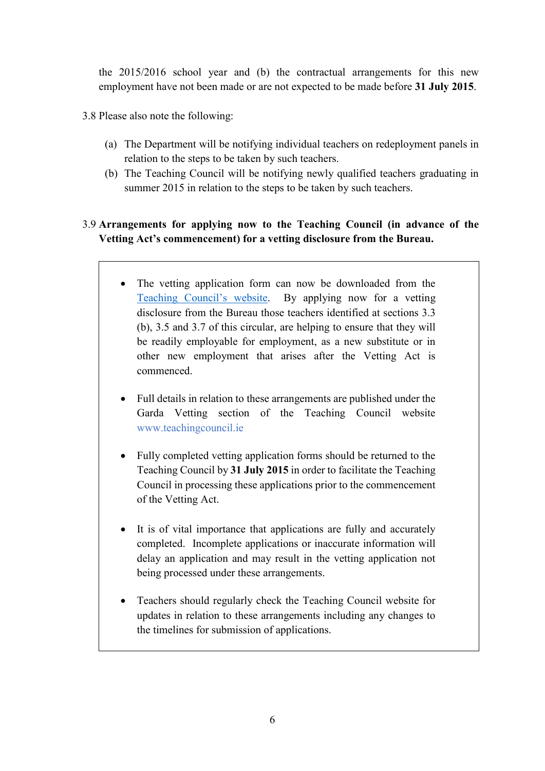the 2015/2016 school year and (b) the contractual arrangements for this new employment have not been made or are not expected to be made before **31 July 2015**.

- 3.8 Please also note the following:
	- (a) The Department will be notifying individual teachers on redeployment panels in relation to the steps to be taken by such teachers.
	- (b) The Teaching Council will be notifying newly qualified teachers graduating in summer 2015 in relation to the steps to be taken by such teachers.

## 3.9 **Arrangements for applying now to the Teaching Council (in advance of the Vetting Act's commencement) for a vetting disclosure from the Bureau.**

- The vetting application form can now be downloaded from the [Teaching Council's website](http://www.teachingcouncil.ie/garda-vetting/overview.771.html). By applying now for a vetting disclosure from the Bureau those teachers identified at sections 3.3 (b), 3.5 and 3.7 of this circular, are helping to ensure that they will be readily employable for employment, as a new substitute or in other new employment that arises after the Vetting Act is commenced.
- Full details in relation to these arrangements are published under the Garda Vetting section of the Teaching Council website [www.teachingcouncil.ie](http://www.teachingcouncil.ie/garda-vetting/overview.771.html)
- Fully completed vetting application forms should be returned to the Teaching Council by **31 July 2015** in order to facilitate the Teaching Council in processing these applications prior to the commencement of the Vetting Act.
- It is of vital importance that applications are fully and accurately completed. Incomplete applications or inaccurate information will delay an application and may result in the vetting application not being processed under these arrangements.
- Teachers should regularly check the Teaching Council website for updates in relation to these arrangements including any changes to the timelines for submission of applications.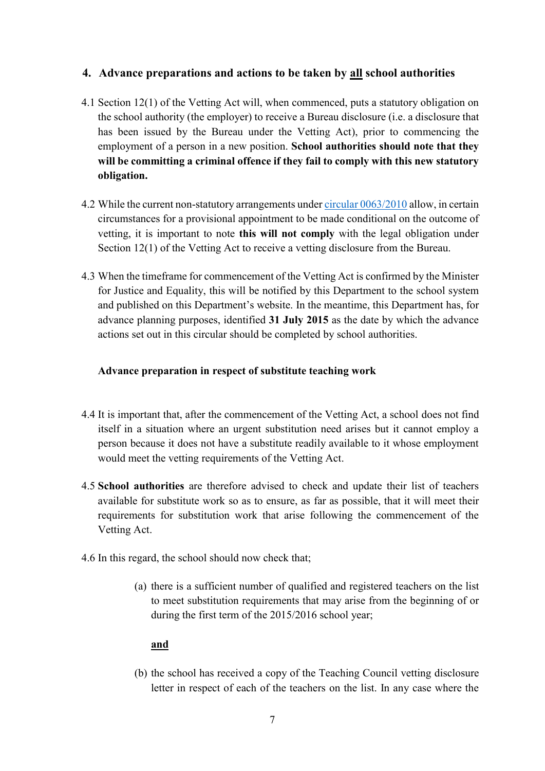## <span id="page-6-0"></span>**4. Advance preparations and actions to be taken by all school authorities**

- 4.1 Section 12(1) of the Vetting Act will, when commenced, puts a statutory obligation on the school authority (the employer) to receive a Bureau disclosure (i.e. a disclosure that has been issued by the Bureau under the Vetting Act), prior to commencing the employment of a person in a new position. **School authorities should note that they will be committing a criminal offence if they fail to comply with this new statutory obligation.**
- 4.2 While the current non-statutory arrangements unde[r circular 0063/2010](http://www.education.ie/en/Circulars-and-Forms/Active-Circulars/cl0063_2010.doc) allow, in certain circumstances for a provisional appointment to be made conditional on the outcome of vetting, it is important to note **this will not comply** with the legal obligation under Section 12(1) of the Vetting Act to receive a vetting disclosure from the Bureau.
- 4.3 When the timeframe for commencement of the Vetting Act is confirmed by the Minister for Justice and Equality, this will be notified by this Department to the school system and published on this Department's website. In the meantime, this Department has, for advance planning purposes, identified **31 July 2015** as the date by which the advance actions set out in this circular should be completed by school authorities.

## **Advance preparation in respect of substitute teaching work**

- 4.4 It is important that, after the commencement of the Vetting Act, a school does not find itself in a situation where an urgent substitution need arises but it cannot employ a person because it does not have a substitute readily available to it whose employment would meet the vetting requirements of the Vetting Act.
- 4.5 **School authorities** are therefore advised to check and update their list of teachers available for substitute work so as to ensure, as far as possible, that it will meet their requirements for substitution work that arise following the commencement of the Vetting Act.
- 4.6 In this regard, the school should now check that;
	- (a) there is a sufficient number of qualified and registered teachers on the list to meet substitution requirements that may arise from the beginning of or during the first term of the 2015/2016 school year;

#### **and**

(b) the school has received a copy of the Teaching Council vetting disclosure letter in respect of each of the teachers on the list. In any case where the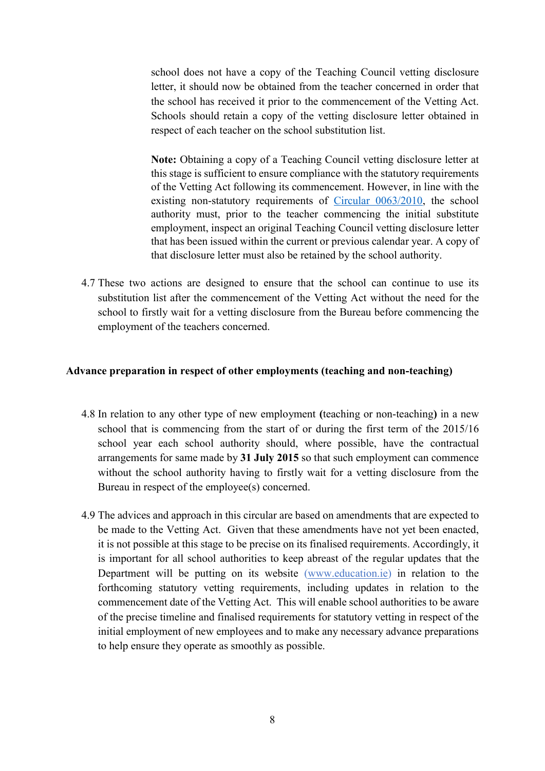school does not have a copy of the Teaching Council vetting disclosure letter, it should now be obtained from the teacher concerned in order that the school has received it prior to the commencement of the Vetting Act. Schools should retain a copy of the vetting disclosure letter obtained in respect of each teacher on the school substitution list.

**Note:** Obtaining a copy of a Teaching Council vetting disclosure letter at this stage is sufficient to ensure compliance with the statutory requirements of the Vetting Act following its commencement. However, in line with the existing non-statutory requirements of [Circular 0063/2010,](http://www.education.ie/en/Circulars-and-Forms/Active-Circulars/cl0063_2010.doc) the school authority must, prior to the teacher commencing the initial substitute employment, inspect an original Teaching Council vetting disclosure letter that has been issued within the current or previous calendar year. A copy of that disclosure letter must also be retained by the school authority.

4.7 These two actions are designed to ensure that the school can continue to use its substitution list after the commencement of the Vetting Act without the need for the school to firstly wait for a vetting disclosure from the Bureau before commencing the employment of the teachers concerned.

#### **Advance preparation in respect of other employments (teaching and non-teaching)**

- 4.8 In relation to any other type of new employment **(**teaching or non-teaching**)** in a new school that is commencing from the start of or during the first term of the 2015/16 school year each school authority should, where possible, have the contractual arrangements for same made by **31 July 2015** so that such employment can commence without the school authority having to firstly wait for a vetting disclosure from the Bureau in respect of the employee(s) concerned.
- 4.9 The advices and approach in this circular are based on amendments that are expected to be made to the Vetting Act. Given that these amendments have not yet been enacted, it is not possible at this stage to be precise on its finalised requirements. Accordingly, it is important for all school authorities to keep abreast of the regular updates that the Department will be putting on its website [\(www.education.ie\)](http://www.education.ie/) in relation to the forthcoming statutory vetting requirements, including updates in relation to the commencement date of the Vetting Act. This will enable school authorities to be aware of the precise timeline and finalised requirements for statutory vetting in respect of the initial employment of new employees and to make any necessary advance preparations to help ensure they operate as smoothly as possible.